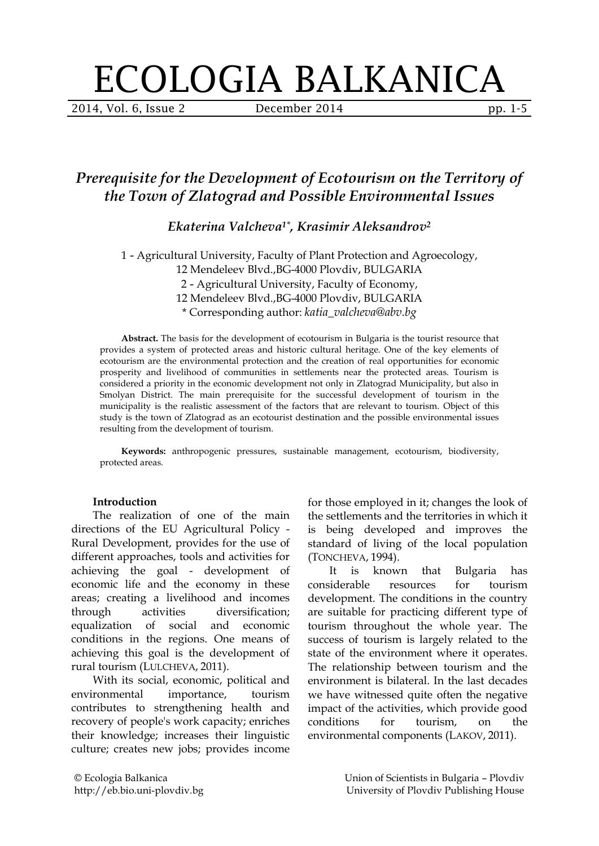# ECOLOGIA BALKANICA

2014, Vol. 6, Issue 2 **December 2014** pp. 1-5

# *Prerequisite for the Development of Ecotourism on the Territory of the Town of Zlatograd and Possible Environmental Issues*

*Ekaterina Valcheva1\*, Krasimir Aleksandrov<sup>2</sup>*

1 - Agricultural University, Faculty of Plant Protection and Agroecology, 12 Mendeleev Blvd.,BG-4000 Plovdiv, BULGARIA 2 - Agricultural University, Faculty of Economy, 12 Mendeleev Blvd.,BG-4000 Plovdiv, BULGARIA \* Corresponding author: *katia\_valcheva@abv.bg*

**Abstract.** The basis for the development of ecotourism in Bulgaria is the tourist resource that provides a system of protected areas and historic cultural heritage. One of the key elements of ecotourism are the environmental protection and the creation of real opportunities for economic prosperity and livelihood of communities in settlements near the protected areas. Tourism is considered a priority in the economic development not only in Zlatograd Municipality, but also in Smolyan District. The main prerequisite for the successful development of tourism in the municipality is the realistic assessment of the factors that are relevant to tourism. Object of this study is the town of Zlatograd as an ecotourist destination and the possible environmental issues resulting from the development of tourism.

**Keywords:** anthropogenic pressures, sustainable management, ecotourism, biodiversity, protected areas.

#### **Introduction**

The realization of one of the main directions of the EU Agricultural Policy - Rural Development, provides for the use of different approaches, tools and activities for achieving the goal - development of economic life and the economy in these areas; creating a livelihood and incomes through activities diversification; equalization of social and economic conditions in the regions. One means of achieving this goal is the development of rural tourism (LULCHEVA, 2011).

With its social, economic, political and environmental importance, tourism contributes to strengthening health and recovery of people's work capacity; enriches their knowledge; increases their linguistic culture; creates new jobs; provides income

for those employed in it; changes the look of the settlements and the territories in which it is being developed and improves the standard of living of the local population (TONCHEVA, 1994).

It is known that Bulgaria has considerable resources for tourism development. The conditions in the country are suitable for practicing different type of tourism throughout the whole year. The success of tourism is largely related to the state of the environment where it operates. The relationship between tourism and the environment is bilateral. In the last decades we have witnessed quite often the negative impact of the activities, which provide good conditions for tourism, on the environmental components (LAKOV, 2011).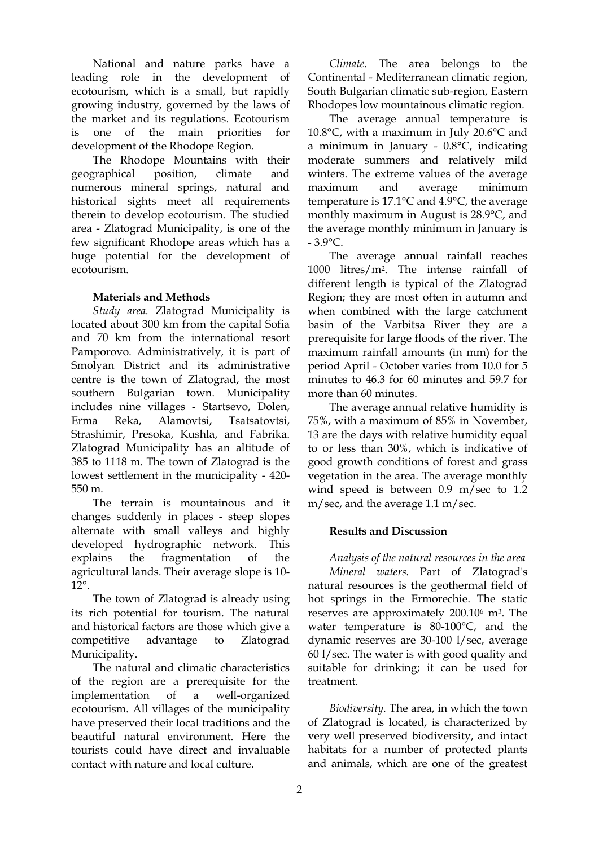National and nature parks have a leading role in the development of ecotourism, which is a small, but rapidly growing industry, governed by the laws of the market and its regulations. Ecotourism is one of the main priorities for development of the Rhodope Region.

The Rhodope Mountains with their geographical position, climate and numerous mineral springs, natural and historical sights meet all requirements therein to develop ecotourism. The studied area - Zlatograd Municipality, is one of the few significant Rhodope areas which has a huge potential for the development of ecotourism.

#### **Materials and Methods**

*Study area.* Zlatograd Municipality is located about 300 km from the capital Sofia and 70 km from the international resort Pamporovo. Administratively, it is part of Smolyan District and its administrative centre is the town of Zlatograd, the most southern Bulgarian town. Municipality includes nine villages - Startsevo, Dolen, Erma Reka, Alamovtsi, Tsatsatovtsi, Strashimir, Presoka, Kushla, and Fabrika. Zlatograd Municipality has an altitude of 385 to 1118 m. The town of Zlatograd is the lowest settlement in the municipality - 420- 550 m.

The terrain is mountainous and it changes suddenly in places - steep slopes alternate with small valleys and highly developed hydrographic network. This explains the fragmentation of the agricultural lands. Their average slope is 10- 12°.

The town of Zlatograd is already using its rich potential for tourism. The natural and historical factors are those which give a competitive advantage to Zlatograd Municipality.

The natural and climatic characteristics of the region are a prerequisite for the implementation of a well-organized ecotourism. All villages of the municipality have preserved their local traditions and the beautiful natural environment. Here the tourists could have direct and invaluable contact with nature and local culture.

*Climate.* The area belongs to the Continental - Mediterranean climatic region, South Bulgarian climatic sub-region, Eastern Rhodopes low mountainous climatic region.

The average annual temperature is 10.8°C, with a maximum in July 20.6°C and a minimum in January - 0.8°C, indicating moderate summers and relatively mild winters. The extreme values of the average maximum and average minimum temperature is 17.1°C and 4.9°C, the average monthly maximum in August is 28.9°C, and the average monthly minimum in January is  $-3.9$ °C.

The average annual rainfall reaches 1000 litres/m2. The intense rainfall of different length is typical of the Zlatograd Region; they are most often in autumn and when combined with the large catchment basin of the Varbitsa River they are a prerequisite for large floods of the river. The maximum rainfall amounts (in mm) for the period April - October varies from 10.0 for 5 minutes to 46.3 for 60 minutes and 59.7 for more than 60 minutes.

The average annual relative humidity is 75%, with a maximum of 85% in November, 13 are the days with relative humidity equal to or less than 30%, which is indicative of good growth conditions of forest and grass vegetation in the area. The average monthly wind speed is between 0.9 m/sec to 1.2 m/sec, and the average 1.1 m/sec.

## **Results and Discussion**

*Analysis of the natural resources in the area Mineral waters.* Part of Zlatograd's natural resources is the geothermal field of hot springs in the Ermorechie. The static reserves are approximately 200.10<sup>6</sup> m3. The water temperature is 80-100°С, and the dynamic reserves are 30-100 l/sec, average 60 l/sec. The water is with good quality and suitable for drinking; it can be used for treatment.

*Biodiversity.* The area, in which the town of Zlatograd is located, is characterized by very well preserved biodiversity, and intact habitats for a number of protected plants and animals, which are one of the greatest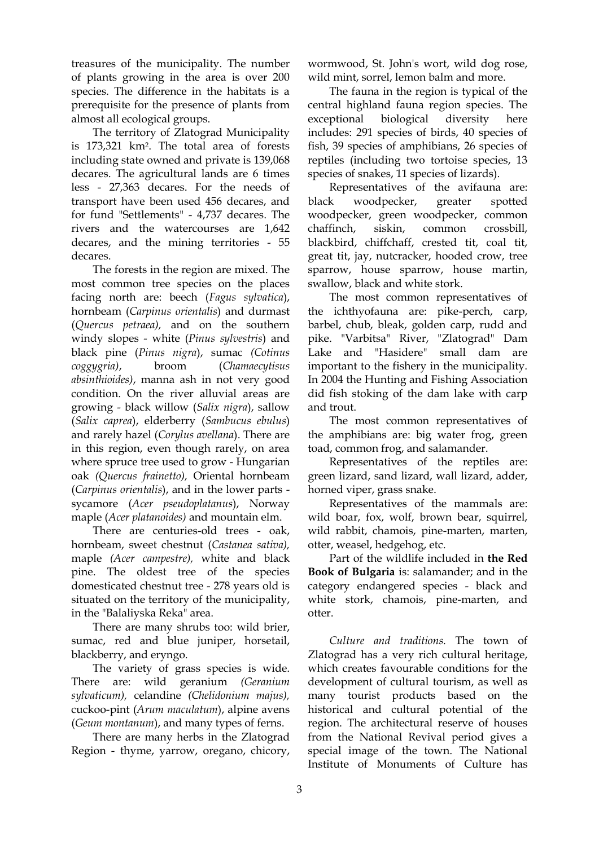treasures of the municipality. The number of plants growing in the area is over 200 species. The difference in the habitats is a prerequisite for the presence of plants from almost all ecological groups.

The territory of Zlatograd Municipality is 173,321 km2. The total area of forests including state owned and private is 139,068 decares. The agricultural lands are 6 times less - 27,363 decares. For the needs of transport have been used 456 decares, and for fund "Settlements" - 4,737 decares. The rivers and the watercourses are 1,642 decares, and the mining territories - 55 decares.

The forests in the region are mixed. The most common tree species on the places facing north are: beech (*Fagus sylvatica*), hornbeam (*Carpinus orientalis*) and durmast (*Quercus petraea),* and on the southern windy slopes *-* white (*Pinus sylvestris*) and black pine (*Pinus nigra*), sumac *(Cotinus coggygria)*, broom (*Chamaecytisus absinthioides)*, manna ash in not very good condition. On the river alluvial areas are growing - black willow (*Salix nigra*), sallow (*Salix caprea*), elderberry (*Sambucus ebulus*) and rarely hazel (*Corylus avellana*). There are in this region, even though rarely, on area where spruce tree used to grow - Hungarian oak *(Quercus frainetto),* Oriental hornbeam (*Carpinus orientalis*), and in the lower parts sycamore (*Acer pseudoplatanus*), Norway maple (*Acer platanoides)* and mountain elm.

There are centuries-old trees - oak, hornbeam, sweet chestnut (*Castanea sativa),* maple *(Acer campestre),* white and black pine. The oldest tree of the species domesticated chestnut tree - 278 years old is situated on the territory of the municipality, in the "Balaliyska Reka" area.

There are many shrubs too: wild brier, sumac, red and blue juniper, horsetail, blackberry, and eryngo.

The variety of grass species is wide. There are: wild geranium *(Geranium sylvaticum),* celandine *(Chelidonium majus),* cuckoo-pint (*Arum maculatum*), alpine avens (*Geum montanum*), and many types of ferns.

There are many herbs in the Zlatograd Region - thyme, yarrow, oregano, chicory,

wormwood, St. John's wort, wild dog rose, wild mint, sorrel, lemon balm and more.

The fauna in the region is typical of the central highland fauna region species. The exceptional biological diversity here includes: 291 species of birds, 40 species of fish, 39 species of amphibians, 26 species of reptiles (including two tortoise species, 13 species of snakes, 11 species of lizards).

Representatives of the avifauna are: black woodpecker, greater spotted woodpecker, green woodpecker, common chaffinch, siskin, common crossbill, blackbird, chiffchaff, crested tit, coal tit, great tit, jay, nutcracker, hooded crow, tree sparrow, house sparrow, house martin, swallow, black and white stork.

The most common representatives of the ichthyofauna are: pike-perch, carp, barbel, chub, bleak, golden carp, rudd and pike. "Varbitsa" River, "Zlatograd" Dam Lake and "Hasidere" small dam are important to the fishery in the municipality. In 2004 the Hunting and Fishing Association did fish stoking of the dam lake with carp and trout.

The most common representatives of the amphibians are: big water frog, green toad, common frog, and salamander.

Representatives of the reptiles are: green lizard, sand lizard, wall lizard, adder, horned viper, grass snake.

Representatives of the mammals are: wild boar, fox, wolf, brown bear, squirrel, wild rabbit, chamois, pine-marten, marten, otter, weasel, hedgehog, etc.

Part of the wildlife included in **the Red Book of Bulgaria** is: salamander; and in the category endangered species - black and white stork, chamois, pine-marten, and otter.

*Culture and traditions.* The town of Zlatograd has a very rich cultural heritage, which creates favourable conditions for the development of cultural tourism, as well as many tourist products based on the historical and cultural potential of the region. The architectural reserve of houses from the National Revival period gives a special image of the town. The National Institute of Monuments of Culture has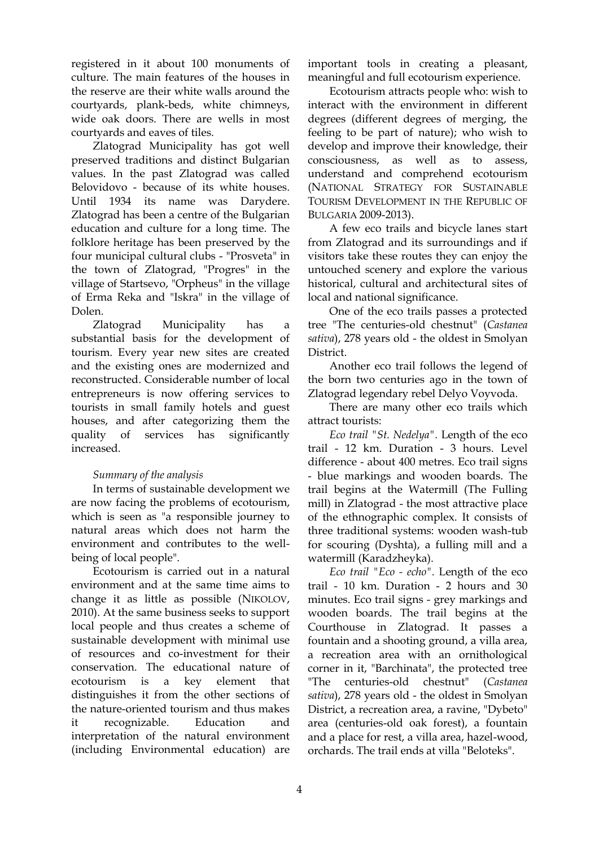registered in it about 100 monuments of culture. The main features of the houses in the reserve are their white walls around the courtyards, plank-beds, white chimneys, wide oak doors. There are wells in most courtyards and eaves of tiles.

Zlatograd Municipality has got well preserved traditions and distinct Bulgarian values. In the past Zlatograd was called Belovidovo - because of its white houses. Until 1934 its name was Darydere. Zlatograd has been a centre of the Bulgarian education and culture for a long time. The folklore heritage has been preserved by the four municipal cultural clubs - "Prosveta" in the town of Zlatograd, "Progres" in the village of Startsevo, "Orpheus" in the village of Erma Reka and "Iskra" in the village of Dolen.

Zlatograd Municipality has a substantial basis for the development of tourism. Every year new sites are created and the existing ones are modernized and reconstructed. Considerable number of local entrepreneurs is now offering services to tourists in small family hotels and guest houses, and after categorizing them the quality of services has significantly increased.

## *Summary of the analysis*

In terms of sustainable development we are now facing the problems of ecotourism, which is seen as "a responsible journey to natural areas which does not harm the environment and contributes to the wellbeing of local people".

Ecotourism is carried out in a natural environment and at the same time aims to change it as little as possible (NIKOLOV, 2010). At the same business seeks to support local people and thus creates a scheme of sustainable development with minimal use of resources and co-investment for their conservation. The educational nature of ecotourism is a key element that distinguishes it from the other sections of the nature-oriented tourism and thus makes it recognizable. Education and interpretation of the natural environment (including Environmental education) are

important tools in creating a pleasant, meaningful and full ecotourism experience.

Ecotourism attracts people who: wish to interact with the environment in different degrees (different degrees of merging, the feeling to be part of nature); who wish to develop and improve their knowledge, their consciousness, as well as to assess, understand and comprehend ecotourism (NATIONAL STRATEGY FOR SUSTAINABLE TOURISM DEVELOPMENT IN THE REPUBLIC OF BULGARIA 2009-2013).

A few eco trails and bicycle lanes start from Zlatograd and its surroundings and if visitors take these routes they can enjoy the untouched scenery and explore the various historical, cultural and architectural sites of local and national significance.

One of the eco trails passes a protected tree "The centuries-old chestnut" (*Castanea sativa*), 278 years old - the oldest in Smolyan District.

Another eco trail follows the legend of the born two centuries ago in the town of Zlatograd legendary rebel Delyo Voyvoda.

There are many other eco trails which attract tourists:

*Eco trail "St. Nedelya".* Length of the eco trail - 12 km. Duration - 3 hours. Level difference - about 400 metres. Eco trail signs - blue markings and wooden boards. The trail begins at the Watermill (The Fulling mill) in Zlatograd - the most attractive place of the ethnographic complex. It consists of three traditional systems: wooden wash-tub for scouring (Dyshta), a fulling mill and a watermill (Karadzheyka).

*Eco trail "Eco - echo".* Length of the eco trail - 10 km. Duration - 2 hours and 30 minutes. Eco trail signs - grey markings and wooden boards. The trail begins at the Courthouse in Zlatograd. It passes a fountain and a shooting ground, a villa area, a recreation area with an ornithological corner in it, "Barchinata", the protected tree "The centuries-old chestnut" (*Castanea sativa*), 278 years old - the oldest in Smolyan District, a recreation area, a ravine, "Dybeto" area (centuries-old oak forest), a fountain and a place for rest, a villa area, hazel-wood, orchards. The trail ends at villa "Beloteks".